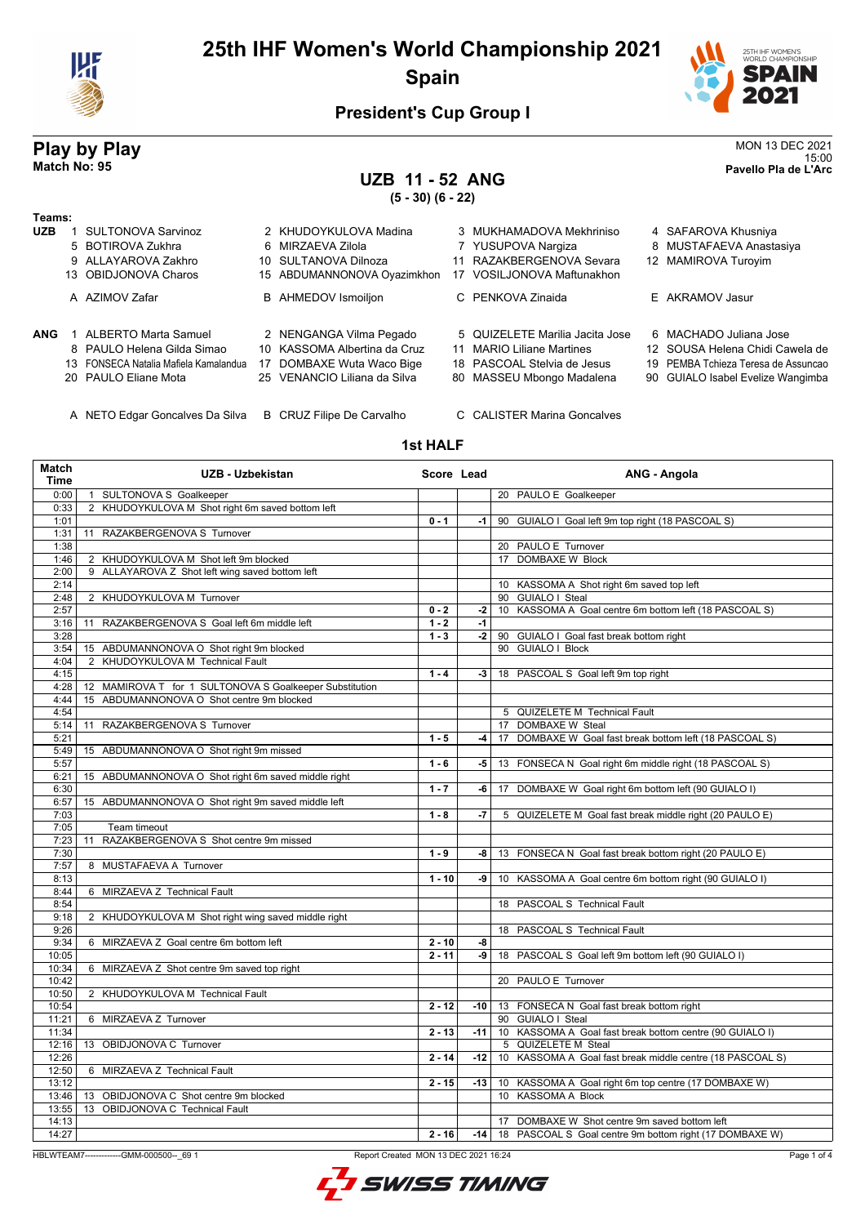



15:00 **Match No: 95 Pavello Pla de L'Arc**

#### **President's Cup Group I**

# **Play by Play**<br>MON 13 DEC 2021<br>Pavello Pla de L'Arc

### **UZB 11 - 52 ANG**

**(5 - 30) (6 - 22)**

| Teams:     |                                       |                              |                                 |                                     |
|------------|---------------------------------------|------------------------------|---------------------------------|-------------------------------------|
| <b>UZB</b> | <b>SULTONOVA Sarvinoz</b>             | 2 KHUDOYKULOVA Madina        | 3 MUKHAMADOVA Mekhriniso        | 4 SAFAROVA Khusniya                 |
|            | 5 BOTIROVA Zukhra                     | 6 MIRZAEVA Zilola            | 7 YUSUPOVA Nargiza              | 8 MUSTAFAEVA Anastasiya             |
|            | 9 ALLAYAROVA Zakhro                   | 10 SULTANOVA Dilnoza         | 11 RAZAKBERGENOVA Sevara        | 12 MAMIROVA Turoyim                 |
|            | 13 OBIDJONOVA Charos                  | 15 ABDUMANNONOVA Oyazimkhon  | 17 VOSILJONOVA Maftunakhon      |                                     |
|            | A AZIMOV Zafar                        | <b>B</b> AHMEDOV Ismoiljon   | C PENKOVA Zinaida               | E AKRAMOV Jasur                     |
| ANG        | ALBERTO Marta Samuel                  | 2 NENGANGA Vilma Pegado      | 5 QUIZELETE Marilia Jacita Jose | 6 MACHADO Juliana Jose              |
|            | 8 PAULO Helena Gilda Simao            | 10 KASSOMA Albertina da Cruz | 11 MARIO Liliane Martines       | 12 SOUSA Helena Chidi Cawela de     |
|            | 13 FONSECA Natalia Mafiela Kamalandua | 17 DOMBAXE Wuta Waco Bige    | 18 PASCOAL Stelvia de Jesus     | 19 PEMBA Tchieza Teresa de Assuncad |
|            | 20 PAULO Eliane Mota                  | 25 VENANCIO Liliana da Silva | 80 MASSEU Mbongo Madalena       | 90 GUIALO Isabel Evelize Wangimba   |
|            |                                       |                              |                                 |                                     |

A NETO Edgar Goncalves Da Silva B CRUZ Filipe De Carvalho C CALISTER Marina Goncalves

#### **1st HALF**

| Match<br><b>Time</b> | UZB - Uzbekistan                                        | Score Lead |       | ANG - Angola                                              |
|----------------------|---------------------------------------------------------|------------|-------|-----------------------------------------------------------|
| 0:00                 | 1 SULTONOVA S Goalkeeper                                |            |       | 20 PAULO E Goalkeeper                                     |
| 0:33                 | 2 KHUDOYKULOVA M Shot right 6m saved bottom left        |            |       |                                                           |
| 1:01                 |                                                         | $0 - 1$    | -1    | 90 GUIALO I Goal left 9m top right (18 PASCOAL S)         |
| 1:31                 | 11 RAZAKBERGENOVA S Turnover                            |            |       |                                                           |
| 1:38                 |                                                         |            |       | 20 PAULO E Turnover                                       |
| 1:46                 | 2 KHUDOYKULOVA M Shot left 9m blocked                   |            |       | 17 DOMBAXE W Block                                        |
| 2:00                 | 9 ALLAYAROVA Z Shot left wing saved bottom left         |            |       |                                                           |
| 2:14                 |                                                         |            |       | 10 KASSOMA A Shot right 6m saved top left                 |
| 2:48                 | 2 KHUDOYKULOVA M Turnover                               |            |       | 90 GUIALO I Steal                                         |
| 2:57                 |                                                         | $0 - 2$    | $-2$  | 10 KASSOMA A Goal centre 6m bottom left (18 PASCOAL S)    |
| 3:16                 | 11 RAZAKBERGENOVA S Goal left 6m middle left            | $1 - 2$    | $-1$  |                                                           |
| 3:28                 |                                                         | $1 - 3$    | $-2$  | 90 GUIALO I Goal fast break bottom right                  |
| 3:54                 | 15 ABDUMANNONOVA O Shot right 9m blocked                |            |       | 90 GUIALO I Block                                         |
| 4:04                 | 2 KHUDOYKULOVA M Technical Fault                        |            |       |                                                           |
| 4:15                 |                                                         | $1 - 4$    | $-3$  | 18 PASCOAL S Goal left 9m top right                       |
| 4:28                 | 12 MAMIROVA T for 1 SULTONOVA S Goalkeeper Substitution |            |       |                                                           |
| 4:44                 | 15 ABDUMANNONOVA O Shot centre 9m blocked               |            |       |                                                           |
| 4:54                 |                                                         |            |       | 5 QUIZELETE M Technical Fault                             |
| 5:14                 | RAZAKBERGENOVA S Turnover<br>11                         |            |       | 17 DOMBAXE W Steal                                        |
| 5:21                 |                                                         | $1 - 5$    | $-4$  | 17 DOMBAXE W Goal fast break bottom left (18 PASCOAL S)   |
| 5:49                 | 15 ABDUMANNONOVA O Shot right 9m missed                 |            |       |                                                           |
| 5:57                 |                                                         | $1 - 6$    | -5    | 13 FONSECA N Goal right 6m middle right (18 PASCOAL S)    |
| 6:21                 | 15 ABDUMANNONOVA O Shot right 6m saved middle right     |            |       |                                                           |
| 6:30                 |                                                         | $1 - 7$    | -6    | 17 DOMBAXE W Goal right 6m bottom left (90 GUIALO I)      |
| 6:57                 | 15 ABDUMANNONOVA O Shot right 9m saved middle left      |            |       |                                                           |
| 7:03                 |                                                         | $1 - 8$    | -7    | 5 QUIZELETE M Goal fast break middle right (20 PAULO E)   |
| 7:05                 | Team timeout                                            |            |       |                                                           |
| 7:23                 | RAZAKBERGENOVA S Shot centre 9m missed<br>11            |            |       |                                                           |
| 7:30                 |                                                         | $1 - 9$    | -8    | 13 FONSECA N Goal fast break bottom right (20 PAULO E)    |
| 7:57                 | 8 MUSTAFAEVA A Turnover                                 |            |       |                                                           |
| 8:13                 |                                                         | $1 - 10$   | -9    | 10 KASSOMA A Goal centre 6m bottom right (90 GUIALO I)    |
| 8:44                 | 6 MIRZAEVA Z Technical Fault                            |            |       |                                                           |
| 8:54                 |                                                         |            |       | 18 PASCOAL S Technical Fault                              |
| 9:18                 | 2 KHUDOYKULOVA M Shot right wing saved middle right     |            |       |                                                           |
| 9:26                 |                                                         |            |       | 18 PASCOAL S Technical Fault                              |
| 9:34                 | 6 MIRZAEVA Z Goal centre 6m bottom left                 | $2 - 10$   | -8    |                                                           |
| 10:05                |                                                         | $2 - 11$   | -9    | 18 PASCOAL S Goal left 9m bottom left (90 GUIALO I)       |
| 10:34                | 6 MIRZAEVA Z Shot centre 9m saved top right             |            |       |                                                           |
| 10:42                |                                                         |            |       | 20 PAULO E Turnover                                       |
| 10:50                | 2 KHUDOYKULOVA M Technical Fault                        |            |       |                                                           |
| 10:54                |                                                         | $2 - 12$   | $-10$ | 13 FONSECA N Goal fast break bottom right                 |
| 11:21                | 6 MIRZAEVA Z Turnover                                   |            |       | 90 GUIALO I Steal                                         |
| 11:34                |                                                         | $2 - 13$   | $-11$ | 10 KASSOMA A Goal fast break bottom centre (90 GUIALO I)  |
| 12:16                | 13 OBIDJONOVA C Turnover                                |            |       | 5 QUIZELETE M Steal                                       |
| 12:26                |                                                         | $2 - 14$   | -12   | 10 KASSOMA A Goal fast break middle centre (18 PASCOAL S) |
| 12:50                | 6 MIRZAEVA Z Technical Fault                            |            |       |                                                           |
| 13:12                |                                                         | $2 - 15$   | $-13$ | 10 KASSOMA A Goal right 6m top centre (17 DOMBAXE W)      |
| 13:46                | 13 OBIDJONOVA C Shot centre 9m blocked                  |            |       | 10 KASSOMA A Block                                        |
| 13:55                | 13 OBIDJONOVA C Technical Fault                         |            |       |                                                           |
| 14:13                |                                                         |            |       | 17 DOMBAXE W Shot centre 9m saved bottom left             |
| 14:27                |                                                         | $2 - 16$   | $-14$ | 18 PASCOAL S Goal centre 9m bottom right (17 DOMBAXE W)   |
|                      |                                                         |            |       |                                                           |

HBLWTEAM7-------------GMM-000500--\_69 1 Report Created MON 13 DEC 2021 16:24

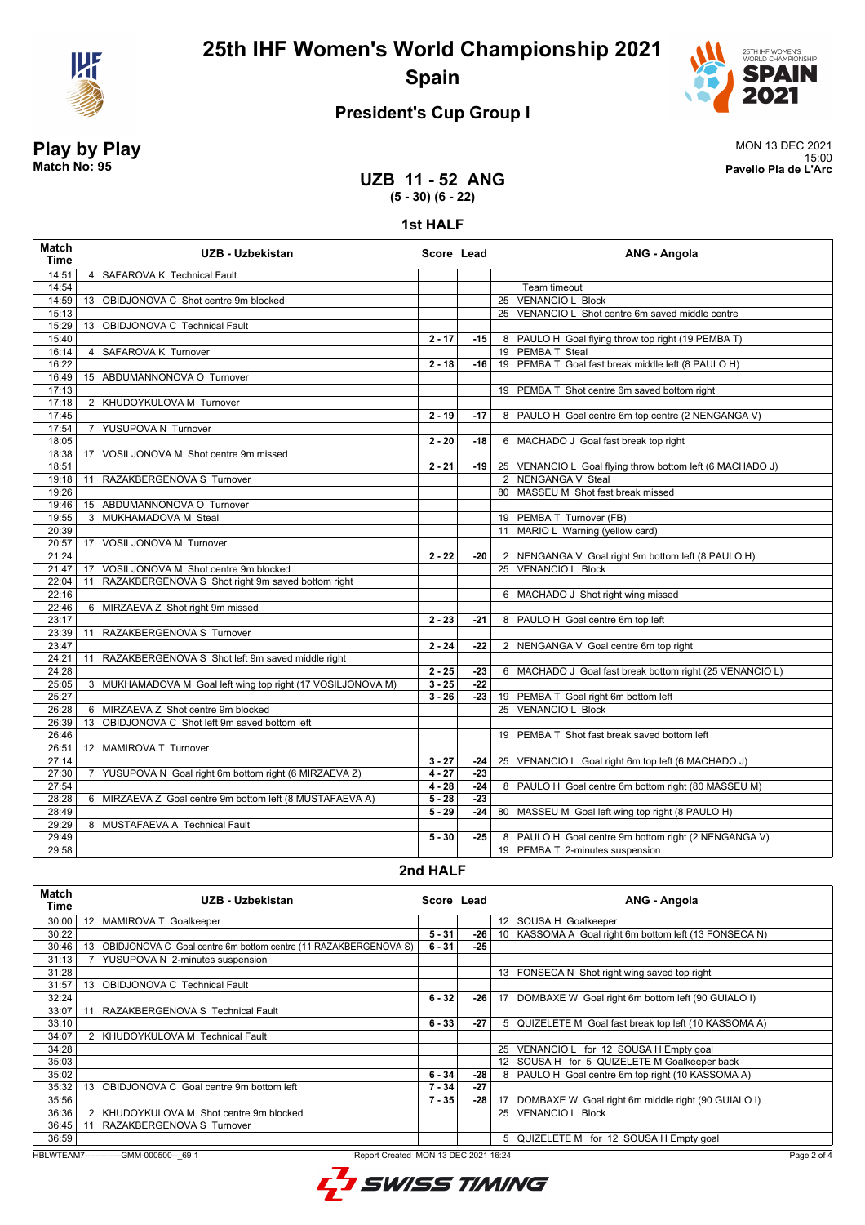



### **President's Cup Group I**

**Play by Play**<br>MON 13 DEC 2021<br>Pavello Pla de L'Arc 15:00 **Match No: 95 Pavello Pla de L'Arc**

#### **UZB 11 - 52 ANG (5 - 30) (6 - 22)**

**1st HALF**

| <b>Match</b><br>Time | UZB - Uzbekistan                                                       |          | Score Lead | ANG - Angola                                              |  |
|----------------------|------------------------------------------------------------------------|----------|------------|-----------------------------------------------------------|--|
| 14:51                | 4 SAFAROVA K Technical Fault                                           |          |            |                                                           |  |
| 14:54                |                                                                        |          |            | Team timeout                                              |  |
| 14:59                | OBIDJONOVA C Shot centre 9m blocked<br>13                              |          |            | 25 VENANCIO L Block                                       |  |
| 15:13                |                                                                        |          |            | 25 VENANCIO L Shot centre 6m saved middle centre          |  |
| 15:29                | 13 OBIDJONOVA C Technical Fault                                        |          |            |                                                           |  |
| 15:40                |                                                                        | $2 - 17$ | $-15$      | 8 PAULO H Goal flying throw top right (19 PEMBA T)        |  |
| 16:14                | SAFAROVA K Turnover<br>$\overline{4}$                                  |          |            | 19 PEMBA T Steal                                          |  |
| 16:22                |                                                                        | $2 - 18$ | $-16$      | 19 PEMBA T Goal fast break middle left (8 PAULO H)        |  |
| 16:49                | 15 ABDUMANNONOVA O Turnover                                            |          |            |                                                           |  |
| 17:13                |                                                                        |          |            | 19 PEMBA T Shot centre 6m saved bottom right              |  |
| 17:18                | 2 KHUDOYKULOVA M Turnover                                              |          |            |                                                           |  |
| 17:45                |                                                                        | $2 - 19$ | $-17$      | 8 PAULO H Goal centre 6m top centre (2 NENGANGA V)        |  |
| 17:54                | YUSUPOVA N Turnover<br>$\overline{7}$                                  |          |            |                                                           |  |
| 18:05                |                                                                        | $2 - 20$ | -18        | 6 MACHADO J Goal fast break top right                     |  |
| 18:38                | VOSILJONOVA M Shot centre 9m missed<br>17                              |          |            |                                                           |  |
| 18:51                |                                                                        | $2 - 21$ | -19        | 25 VENANCIO L Goal flying throw bottom left (6 MACHADO J) |  |
| 19:18                | RAZAKBERGENOVA S Turnover<br>11                                        |          |            | 2 NENGANGA V Steal                                        |  |
| 19:26                |                                                                        |          |            | 80 MASSEU M Shot fast break missed                        |  |
| 19:46                | 15 ABDUMANNONOVA O Turnover                                            |          |            |                                                           |  |
| 19:55                | 3 MUKHAMADOVA M Steal                                                  |          |            | 19 PEMBA T Turnover (FB)                                  |  |
| 20:39                |                                                                        |          |            | 11 MARIO L Warning (yellow card)                          |  |
| 20:57                | 17 VOSILJONOVA M Turnover                                              |          |            |                                                           |  |
| 21:24                |                                                                        | $2 - 22$ | -20        | 2 NENGANGA V Goal right 9m bottom left (8 PAULO H)        |  |
| 21:47                | VOSILJONOVA M Shot centre 9m blocked<br>17                             |          |            | 25 VENANCIO L Block                                       |  |
| 22:04                | RAZAKBERGENOVA S Shot right 9m saved bottom right<br>11                |          |            |                                                           |  |
| 22:16                |                                                                        |          |            | 6 MACHADO J Shot right wing missed                        |  |
| 22:46                | 6 MIRZAEVA Z Shot right 9m missed                                      |          |            |                                                           |  |
| 23:17                |                                                                        | $2 - 23$ | -21        | 8 PAULO H Goal centre 6m top left                         |  |
| 23:39                | RAZAKBERGENOVA S Turnover<br>11                                        |          |            |                                                           |  |
| 23:47                |                                                                        | $2 - 24$ | $-22$      | 2 NENGANGA V Goal centre 6m top right                     |  |
| 24:21                | RAZAKBERGENOVA S Shot left 9m saved middle right<br>11                 |          |            |                                                           |  |
| 24:28                |                                                                        | $2 - 25$ | $-23$      | 6 MACHADO J Goal fast break bottom right (25 VENANCIO L)  |  |
| 25:05                | 3 MUKHAMADOVA M Goal left wing top right (17 VOSILJONOVA M)            | $3 - 25$ | $-22$      |                                                           |  |
| 25:27                |                                                                        | $3 - 26$ | $-23$      | 19 PEMBA T Goal right 6m bottom left                      |  |
| 26:28                | 6 MIRZAEVA Z Shot centre 9m blocked                                    |          |            | 25 VENANCIO L Block                                       |  |
| 26:39                | 13 OBIDJONOVA C Shot left 9m saved bottom left                         |          |            |                                                           |  |
| 26:46                |                                                                        |          |            | 19 PEMBA T Shot fast break saved bottom left              |  |
| 26:51                | 12 MAMIROVA T Turnover                                                 |          |            |                                                           |  |
| 27:14                |                                                                        | $3 - 27$ | -24        | 25 VENANCIO L Goal right 6m top left (6 MACHADO J)        |  |
| 27:30                | YUSUPOVA N Goal right 6m bottom right (6 MIRZAEVA Z)<br>$\overline{7}$ | $4 - 27$ | $-23$      |                                                           |  |
| 27:54                |                                                                        | $4 - 28$ | $-24$      | 8 PAULO H Goal centre 6m bottom right (80 MASSEU M)       |  |
| 28:28                | 6 MIRZAEVA Z Goal centre 9m bottom left (8 MUSTAFAEVA A)               | $5 - 28$ | $-23$      |                                                           |  |
| 28:49                |                                                                        | $5 - 29$ | -24        | 80 MASSEU M Goal left wing top right (8 PAULO H)          |  |
| 29:29                | 8 MUSTAFAEVA A Technical Fault                                         |          |            |                                                           |  |
| 29:49                |                                                                        | $5 - 30$ | $-25$      | 8 PAULO H Goal centre 9m bottom right (2 NENGANGA V)      |  |
| 29:58                |                                                                        |          |            | 19 PEMBA T 2-minutes suspension                           |  |

#### **2nd HALF**

| Match<br>Time | UZB - Uzbekistan                                                      | Score Lead |       | ANG - Angola                                             |
|---------------|-----------------------------------------------------------------------|------------|-------|----------------------------------------------------------|
| 30:00         | MAMIROVA T Goalkeeper<br>12                                           |            |       | 12 SOUSA H Goalkeeper                                    |
| 30:22         |                                                                       | $5 - 31$   | $-26$ | 10 KASSOMA A Goal right 6m bottom left (13 FONSECA N)    |
| 30:46         | OBIDJONOVA C Goal centre 6m bottom centre (11 RAZAKBERGENOVA S)<br>13 | $6 - 31$   | $-25$ |                                                          |
| 31:13         | YUSUPOVA N 2-minutes suspension                                       |            |       |                                                          |
| 31:28         |                                                                       |            |       | 13 FONSECA N Shot right wing saved top right             |
| 31:57         | 13<br><b>OBIDJONOVA C Technical Fault</b>                             |            |       |                                                          |
| 32:24         |                                                                       | $6 - 32$   | $-26$ | DOMBAXE W Goal right 6m bottom left (90 GUIALO I)<br>17  |
| 33:07         | RAZAKBERGENOVA S Technical Fault<br>11                                |            |       |                                                          |
| 33:10         |                                                                       | $6 - 33$   | $-27$ | 5 QUIZELETE M Goal fast break top left (10 KASSOMA A)    |
| 34:07         | KHUDOYKULOVA M Technical Fault                                        |            |       |                                                          |
| 34:28         |                                                                       |            |       | VENANCIO L for 12 SOUSA H Empty goal<br>25               |
| 35:03         |                                                                       |            |       | 12 SOUSA H for 5 QUIZELETE M Goalkeeper back             |
| 35:02         |                                                                       | $6 - 34$   | $-28$ | 8 PAULO H Goal centre 6m top right (10 KASSOMA A)        |
| 35:32         | OBIDJONOVA C Goal centre 9m bottom left<br>13                         | $7 - 34$   | $-27$ |                                                          |
| 35:56         |                                                                       | $7 - 35$   | $-28$ | DOMBAXE W Goal right 6m middle right (90 GUIALO I)<br>17 |
| 36:36         | 2 KHUDOYKULOVA M Shot centre 9m blocked                               |            |       | 25 VENANCIO L Block                                      |
| 36:45         | RAZAKBERGENOVA S Turnover<br>11                                       |            |       |                                                          |
| 36:59         |                                                                       |            |       | QUIZELETE M for 12 SOUSA H Empty goal<br>5               |

HBLWTEAM7-------------GMM-000500--\_69 1 Report Created MON 13 DEC 2021 16:24

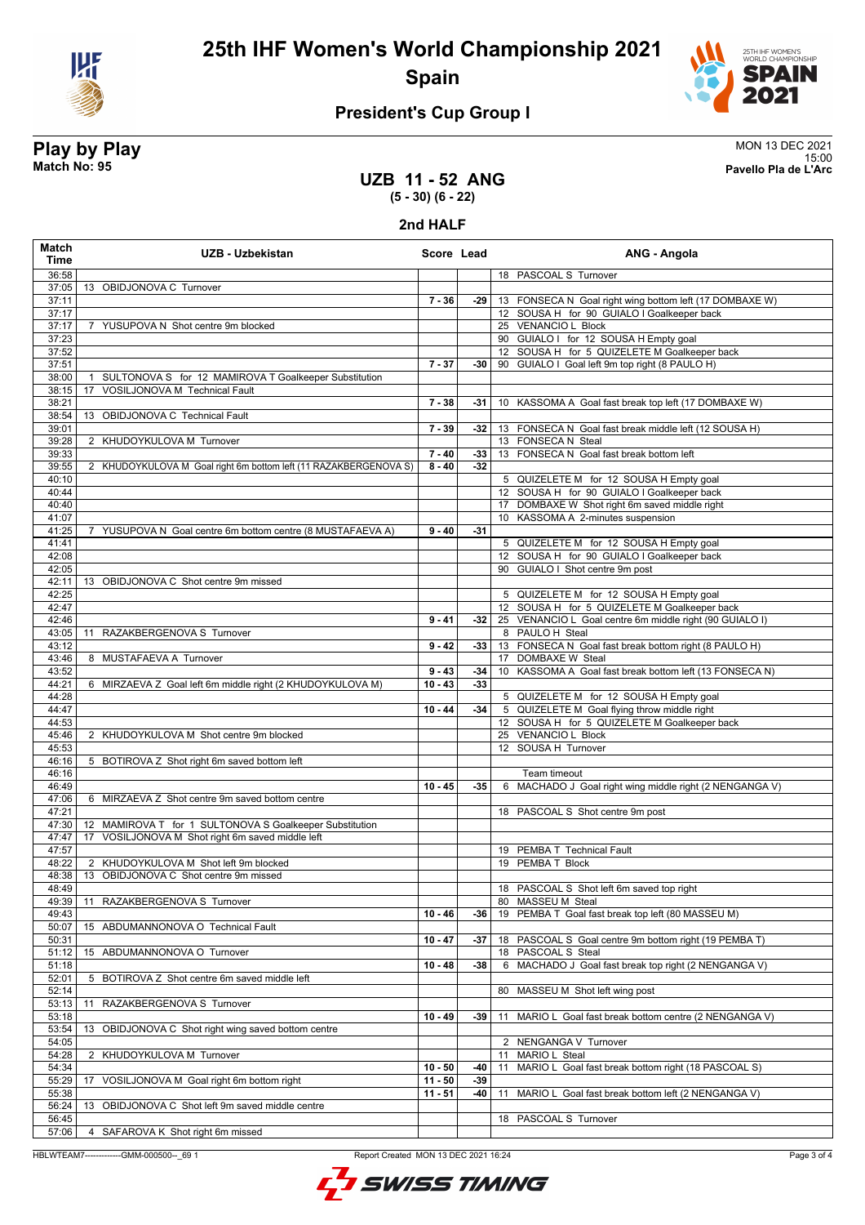



### **President's Cup Group I**

# **Play by Play**<br>MON 13 DEC 2021<br>Pavello Pla de L'Arc

**UZB 11 - 52 ANG**

15:00 **Match No: 95 Pavello Pla de L'Arc**

## **(5 - 30) (6 - 22)**

**2nd HALF**

| <b>Match</b><br>Time | UZB - Uzbekistan                                                        |           | Score Lead | ANG - Angola                                               |
|----------------------|-------------------------------------------------------------------------|-----------|------------|------------------------------------------------------------|
| 36:58                |                                                                         |           |            | 18 PASCOAL S Turnover                                      |
| 37:05                | 13 OBIDJONOVA C Turnover                                                |           |            |                                                            |
| 37:11                |                                                                         | $7 - 36$  | -29        | 13 FONSECA N Goal right wing bottom left (17 DOMBAXE W)    |
| 37:17                |                                                                         |           |            | 12 SOUSA H for 90 GUIALO I Goalkeeper back                 |
| 37:17                | 7 YUSUPOVA N Shot centre 9m blocked                                     |           |            | 25 VENANCIO L Block                                        |
| 37:23                |                                                                         |           |            | 90 GUIALO I for 12 SOUSA H Empty goal                      |
| 37:52                |                                                                         |           |            | 12 SOUSA H for 5 QUIZELETE M Goalkeeper back               |
| 37:51                |                                                                         | $7 - 37$  | -30        | 90 GUIALO I Goal left 9m top right (8 PAULO H)             |
| 38:00                | SULTONOVA S for 12 MAMIROVA T Goalkeeper Substitution<br>$\overline{1}$ |           |            |                                                            |
| 38:15                | VOSILJONOVA M Technical Fault<br>17                                     |           |            |                                                            |
| 38:21                |                                                                         | $7 - 38$  | -31        | KASSOMA A Goal fast break top left (17 DOMBAXE W)<br>10    |
| 38:54<br>39:01       | 13 OBIDJONOVA C Technical Fault                                         | $7 - 39$  | $-32$      | 13 FONSECA N Goal fast break middle left (12 SOUSA H)      |
| 39:28                | 2 KHUDOYKULOVA M Turnover                                               |           |            | 13 FONSECA N Steal                                         |
| 39:33                |                                                                         | $7 - 40$  | $-33$      | 13 FONSECA N Goal fast break bottom left                   |
| 39:55                | 2 KHUDOYKULOVA M Goal right 6m bottom left (11 RAZAKBERGENOVA S)        | $8 - 40$  | $-32$      |                                                            |
| 40:10                |                                                                         |           |            | 5 QUIZELETE M for 12 SOUSA H Empty goal                    |
| 40:44                |                                                                         |           |            | 12 SOUSA H for 90 GUIALO I Goalkeeper back                 |
| 40:40                |                                                                         |           |            | 17 DOMBAXE W Shot right 6m saved middle right              |
| 41:07                |                                                                         |           |            | 10 KASSOMA A 2-minutes suspension                          |
| 41:25                | 7 YUSUPOVA N Goal centre 6m bottom centre (8 MUSTAFAEVA A)              | $9 - 40$  | $-31$      |                                                            |
| 41:41                |                                                                         |           |            | 5 QUIZELETE M for 12 SOUSA H Empty goal                    |
| 42:08                |                                                                         |           |            | 12 SOUSA H for 90 GUIALO I Goalkeeper back                 |
| 42:05                |                                                                         |           |            | 90 GUIALO I Shot centre 9m post                            |
| 42:11                | 13 OBIDJONOVA C Shot centre 9m missed                                   |           |            |                                                            |
| 42:25                |                                                                         |           |            | 5 QUIZELETE M for 12 SOUSA H Empty goal                    |
| 42:47                |                                                                         |           |            | 12 SOUSA H for 5 QUIZELETE M Goalkeeper back               |
| 42:46                |                                                                         | $9 - 41$  | -32        | 25 VENANCIO L Goal centre 6m middle right (90 GUIALO I)    |
| 43:05                | RAZAKBERGENOVA S Turnover<br>11                                         |           |            | 8 PAULO H Steal                                            |
| 43:12                |                                                                         | $9 - 42$  | -33        | 13 FONSECA N Goal fast break bottom right (8 PAULO H)      |
| 43:46                | 8 MUSTAFAEVA A Turnover                                                 |           |            | 17 DOMBAXE W Steal                                         |
| 43:52                |                                                                         | $9 - 43$  | $-34$      | 10 KASSOMA A Goal fast break bottom left (13 FONSECA N)    |
| 44:21                | 6 MIRZAEVA Z Goal left 6m middle right (2 KHUDOYKULOVA M)               | $10 - 43$ | $-33$      |                                                            |
| 44:28                |                                                                         |           |            | 5 QUIZELETE M for 12 SOUSA H Empty goal                    |
| 44:47                |                                                                         | $10 - 44$ | $-34$      | 5 QUIZELETE M Goal flying throw middle right               |
| 44:53                |                                                                         |           |            | 12 SOUSA H for 5 QUIZELETE M Goalkeeper back               |
| 45:46                | 2 KHUDOYKULOVA M Shot centre 9m blocked                                 |           |            | 25 VENANCIO L Block                                        |
| 45:53                |                                                                         |           |            | 12 SOUSA H Turnover                                        |
| 46:16<br>46:16       | 5 BOTIROVA Z Shot right 6m saved bottom left                            |           |            | Team timeout                                               |
| 46:49                |                                                                         | $10 - 45$ | -35        | 6 MACHADO J Goal right wing middle right (2 NENGANGA V)    |
| 47:06                | 6 MIRZAEVA Z Shot centre 9m saved bottom centre                         |           |            |                                                            |
| 47:21                |                                                                         |           |            | 18 PASCOAL S Shot centre 9m post                           |
| 47:30                | 12 MAMIROVA T for 1 SULTONOVA S Goalkeeper Substitution                 |           |            |                                                            |
| 47:47                | VOSILJONOVA M Shot right 6m saved middle left<br>17                     |           |            |                                                            |
| 47:57                |                                                                         |           |            | 19 PEMBA T Technical Fault                                 |
| 48:22                | 2 KHUDOYKULOVA M Shot left 9m blocked                                   |           |            | 19 PEMBA T Block                                           |
| 48:38                | OBIDJONOVA C Shot centre 9m missed<br>13                                |           |            |                                                            |
| 48:49                |                                                                         |           |            | 18 PASCOAL S Shot left 6m saved top right                  |
| 49:39                | 11 RAZAKBERGENOVA S Turnover                                            |           |            | 80 MASSEU M Steal                                          |
| 49:43                |                                                                         | $10 - 46$ | -36        | 19 PEMBA T Goal fast break top left (80 MASSEU M)          |
| 50:07                | 15 ABDUMANNONOVA O Technical Fault                                      |           |            |                                                            |
| 50:31                |                                                                         | $10 - 47$ | -37        | PASCOAL S Goal centre 9m bottom right (19 PEMBA T)<br>18   |
| 51:12                | 15 ABDUMANNONOVA O Turnover                                             |           |            | 18 PASCOAL S Steal                                         |
| 51:18                |                                                                         | $10 - 48$ | -38        | 6 MACHADO J Goal fast break top right (2 NENGANGA V)       |
| 52:01                | 5 BOTIROVA Z Shot centre 6m saved middle left                           |           |            |                                                            |
| 52:14                |                                                                         |           |            | 80 MASSEU M Shot left wing post                            |
| 53:13                | RAZAKBERGENOVA S Turnover<br>11                                         |           |            |                                                            |
| 53:18                |                                                                         | $10 - 49$ | -39        | MARIO L Goal fast break bottom centre (2 NENGANGA V)<br>11 |
| 53:54                | 13<br>OBIDJONOVA C Shot right wing saved bottom centre                  |           |            |                                                            |
| 54:05                |                                                                         |           |            | NENGANGA V Turnover<br>2                                   |
| 54:28                | 2 KHUDOYKULOVA M Turnover                                               |           |            | MARIO L Steal<br>11                                        |
| 54:34                |                                                                         | $10 - 50$ | -40        | MARIO L Goal fast break bottom right (18 PASCOAL S)<br>11  |
| 55:29                | VOSILJONOVA M Goal right 6m bottom right<br>17                          | $11 - 50$ | $-39$      |                                                            |
| 55:38<br>56:24       | 13 OBIDJONOVA C Shot left 9m saved middle centre                        | $11 - 51$ | -40        | MARIO L Goal fast break bottom left (2 NENGANGA V)<br>11   |
| 56:45                |                                                                         |           |            | 18 PASCOAL S Turnover                                      |
| 57:06                | 4 SAFAROVA K Shot right 6m missed                                       |           |            |                                                            |
|                      |                                                                         |           |            |                                                            |

HBLWTEAM7-------------GMM-000500--\_69 1 Report Created MON 13 DEC 2021 16:24